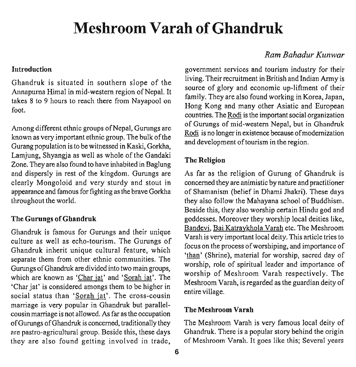# **Meshroom Varah of Ghandruk**

Annapurna Himal in mid-western region of Nepal. It source of glory and economic up-liftment of their<br>taken 2 to 0 hanned the source of the source of the source of the source of the source of the source of the so takes 8 to 9 hours to reach there from Nayapool on family. They are also found working in Korea, Japan,

Among different ethnic groups of Nepal, Gurungs are known as very important ethnic group. The bulk of the Gurang population is to be witnessed in Kaski, Gorkha, Lamjung, Shyangia as well as whole of the Gandaki Zone. They are also found to have inhabited in Baglung and dispersly in rest of the kingdom. Gurungs are clearly Mongoloid and very sturdy and stout in appearance and famous for fighting as the brave Gorkha throughout the world.

### **The Gurungs of Ghandruk**

Ghandruk is famous for Gurungs and their unique culture as well as echo-tourism. The Gurungs of Ghandruk inherit unique cultural feature, which separate them from other ethnic communities. 'The Gurungs of Ghandruk are divided into two main groups, which are known as 'Char jat' and 'Sorah jat'. The 'Char jat' is considered amongs them to be higher in social status than 'Sorah jat'. The cross-cousin marriage is very popular in Ghandruk but parallelcousin marriage is not allowed. As far as the occupation **The Meshroom Varah**  ofGurungs ofGhandruk is concerned, traditionally they The Meshroom Varah is very famous local deity of are pastro-agricultural group. Beside this, these days Ghandruk. There is a popular story behind the origin they are also found getting involved in trade, of Meshroom Varah. It goes like this; Several years

## *Ram Bahadur Kzllzwar*

Introduction **Introduction government** services and tourism industry for their Ghandruk is situated in southern slope of the living. Their recruitment in British and Indian Army is<br>source of glory and economic up-liftment of their Frong Rong and many other Asiatic and European **IUUL. IUUL. countries.** The Rodi is the important social organization of Gurungs of mid-western Nepal, but in Ghandruk Rodi is no longer in existence because of modernization and development of tourism in the region.

### **The Religion**

As far as the religion of Gurung of Ghandruk is concerned they are animistic by nature and practitioner of Shamanism (belief in Dhami Jhakri). These days they also follow the Mahayana school of Buddhism. Beside this, they also worship certain Hindu god and goddesses. Moreover they worship local deities like, Bandevi, Bai Katraykhola Varah etc. The Meshroom Varah is very important local deity. This article tries to focus on the process ofworshiping, and importance of 'than' (Shrine), material for worship, sacred day of worship, role of spiritual leader and importance of worship of Meshroom Varah respectively. The Meshroom Varah, is regarded as the guardian deity of entire village.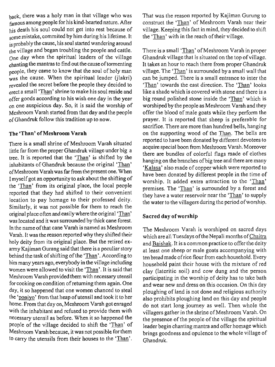back, there was a holy man in that village who was famous among people for his kind-hearted nature. After his death his soul could not get into rest because of  $\frac{m}{\text{some}}$  mistake, commited by him during his lifetime. It is probably the cause, his soul started wandering around the village and began troubling the people and cattle.  $O<sub>0</sub>$  day when the spiritual leaders of the village chanting the mantras to find out the cause of tormenting people, they came to know that the soul of holy man  $\frac{1}{x}$  was the cause. When the spiritual leader (jlakri) revealed the secret before the people they decided to erect a small 'Than' shrine to make his soul reside and offer goods according to his wish one day in the year on one auspicious day. So, it is said the worship of Meshroom Varah started from that day and the people ofGhandruk follow this tradition up to now.

#### **The 'Than' of Meshroom Varah**

There is a small shrine of Meshroom Varah situated little far from the proper Ghandruk village under big a tree. It is reported that the 'Than' is shifted by the inhabitants of Ghandruk because the original 'Than' of Meshroom Varah was far from the present one. When I myself got an opportunity to ask about the shifting of the 'Than' from its original place, the local people reported that they had shifted to their convenient location to pay homage to their professed deity. Similarly, it was not possible for them to reach the original place often and easily where the original 'Than' was located and it was surrounded by thick cane forest. In the name of that cane Varah is named as Meshroom Varah. It was the reason reported why they shifted their holy deity from its original place. But the retired exarmy Kajiman Gurang said that there is a peculiar story behind the task of shifting of the 'Than'. According to him many years ago, everybody in the village including women were allowed to visit the 'Than'. It is said that Meshroom Varah provided them with necessary utensil for cooking on condition of returning them again. One day, it so happened that one women chanced to steal the 'poniyo' from that heap of utensil and took it to her home. From that day on, Meshroom Varah got enraged with the inhabitant and refused to provide them with necessary utensil as before. When it so happened the people of the village decided to shift the 'Than' of Meshroom Varah because, it was not possible for them to carry the utensils from their houses to the 'Than'.

That was the reason reported by Kajiman Gurung to construct the 'Than' of Meshroom Varah near their village. Keeping this fact in mind, they decided to shift the 'Than' with in the reach of their village.

There is a small 'Than' of Meshroom Varah in proper Ghandruk village that is situated on the top of village. It takes an hour to reach there from proper Ghandruk village. The 'Than' is surrounded by a small wall that can be jumped. There is a small entrance to inter the 'Than' towards the east direction. The 'Than' looks like a shade which is covered with stone and there is a big round polished stone inside the 'Than' which is worshiped by the people as Meshroom Varah and they offer the blood of male goats while they perform the prayer. It is reported that sheep is preferable for sacrifice. There are more than hundred bells, hanging on the supporting wood of the Than. The bells are reported to have been donated by different devotees to acquire special boon from Meshroom Varah. Moreover there are bundles of colorful flags made of clothes hanging on the branches of big tree and there are many 'Kalasa' also made of copper which were reported to have been donated by different people in the time of worship. It added extra attraction to the 'Than' premises. The 'Than' is surrounded by a forest and they have a water reservoir near the 'Than' to supply the water to the villagers during the period of worship.

#### **Sacred day of worship**

The Meshroom Varah is worshiped on sacred days which are all Tuesdays of the Nepali months of Chaitra and Baishak. It is a common practice to offer the deity at least one sheep or male goats accompanying with ten bread made of rice flour from each household. Every household paint their house with the mixture of red clay (lateritic soil) and cow dung and the person participating in the worship of deity has to take bath and wear new and dress on this occasion. On this day ploughing of land is not done and religious authority also prohibits ploughing land on this day and people do not start long journey as well. Then whole the villagers gather in the shrine of Meshroom Varah. On the presence of the people of the village the spiritual leader begin chanting mantra and offer homage which brings goodness and opulence to the whole village of Ghandruk.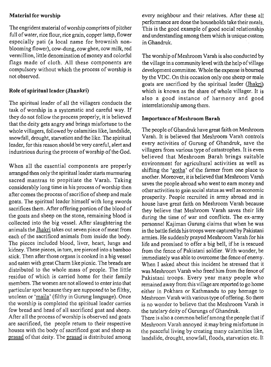#### **Material for worship**

The engrident material of worship comprises of pitcher full of water, rice flour, rice grain, copper lamp, flower especially pati (a local name for brownish nonblooming flower), cow-dung, cow ghee, cow milk, red vermillion, little denomination of money and colorful flags made of cloth. All these components are compulsory without which the process of worship is not observed.

### **Role of spiritual leader (Jhankri)**

The spiritual leader of all the villagers conducts the task of worship in a systematic and careful way. If they do not follow the process properly, it is believed that the deity gets angry and brings misfortune to the whole villagers, followed by calamities like, landslide, snowfall, drought, starvation and the like. The spiritual leader, for this reason should be very careful, alert and industrious during the process of worship of the God.

When all the essential components are properly arranged then only the spiritual leader starts murmuring sacred mantras to propitiate the Varah. Taking considerably long time in his process of worship then after comes the process of sacrifice of sheep and male goats. The spiritual leader himself with long swords sacrifices them. After offering portion of the blood of the goats and sheep on the stone, remaining blood is collected into the big vessel. After slaughtering the animals the Jhakri takes out seven piece of meat from each of the sacrificed animals from inside the body. The pieces included blood, liver, heart, lungs and kidney. These pieces, in turn, are pierced into a bamboo stick. Then after those organs is cooked in a big vessel and eaten with great Charm like picnic. The breads are distributed to the whole mass of people. The little residue of which is carried home for their family members. The women are not allowed to enter into that particular spot because they are supposed to be filthy, unclean or 'maila' (filthy in Gurung language). Once the worship is completed the spiritual leader carries few bread and head of all sacrificed goat and sheep. After all the process of worship is observed and goats are sacrificed, the people return to their respective houses with the body of sacrificed goat and sheep as prasad of that deity. The prasad is distributed among

every neighbour and their relatives. After these all performance are done the households take their meals. This is the good example of good social relationship andunderstanding among them which is unique custom in Ghandruk.

The worship of Meshroom Varah is also conducted by the village in a community level with the help of village development committee. Whole the expense is bourned by the VDC. On this occasion only one sheep or male goats are sacrificed by the spiritual leader (Jhakri) which is known as the share of whole villager. It is also a good instance of harmony and good interrelationship among them.

#### **Importance of Meshroom Barah**

The people of Ghandruk have great faith on Meshroom Varah. It is believed that Meshroom Varah controls every activities of Gurung of Ghandruk, save the villagers from various type of catastrophes. It is even believed that Meshroom Barah brings suitable environment for agricultural activities as well as shifting the 'gotha' of the farmer from one place to another. Moreover, it is believed that Meshroom Varah saves the people abroad who went to earn money and other activities to gain social status as well as economic prosperity. People recruited in army abroad and in house have great faith on Meshroom Varah because they believe that Meshroom Varah saves their life during the time of war and conflicts. The ex-army personnel Kajiman Gurung claims that when he was in the battle fields his troops were captured by Pakistani armies. He suddenly prayed Meshroom Varah for his life and promised to offer a big bell, if he is rescued from the fence of Pakistani soldier. With wonder, he immediately was able to overcome the fence of enemy. When I asked about this incident he stressed that it was Meshroom Varah who freed him from the fence of Pakistani troops. Every year many people who remained away from this village are reported to go home either in Pokhara or Kathmandu to pay homage to Meshroom Varah with various type of offering. So there is no wonder to believe that the Meshroom Varah is the tutelary deity of Gurungs of Ghandruk.

There is also a common belief among the people that if Meshroom Varah annoyed it may bring misfortune in the peaceful living by creating many calamities like, landslide, drought, snowfall, floods, starvation etc. It